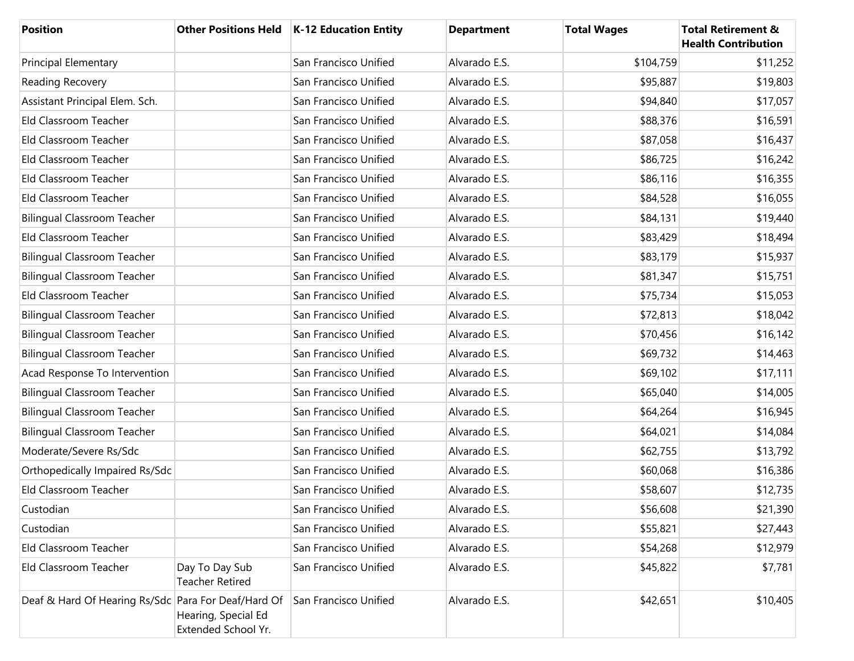| <b>Position</b>                                     |                                            | Other Positions Held   K-12 Education Entity | <b>Department</b> | <b>Total Wages</b> | <b>Total Retirement &amp;</b><br><b>Health Contribution</b> |
|-----------------------------------------------------|--------------------------------------------|----------------------------------------------|-------------------|--------------------|-------------------------------------------------------------|
| <b>Principal Elementary</b>                         |                                            | San Francisco Unified                        | Alvarado E.S.     | \$104,759          | \$11,252                                                    |
| Reading Recovery                                    |                                            | San Francisco Unified                        | Alvarado E.S.     | \$95,887           | \$19,803                                                    |
| Assistant Principal Elem. Sch.                      |                                            | San Francisco Unified                        | Alvarado E.S.     | \$94,840           | \$17,057                                                    |
| Eld Classroom Teacher                               |                                            | San Francisco Unified                        | Alvarado E.S.     | \$88,376           | \$16,591                                                    |
| Eld Classroom Teacher                               |                                            | San Francisco Unified                        | Alvarado E.S.     | \$87,058           | \$16,437                                                    |
| Eld Classroom Teacher                               |                                            | San Francisco Unified                        | Alvarado E.S.     | \$86,725           | \$16,242                                                    |
| Eld Classroom Teacher                               |                                            | San Francisco Unified                        | Alvarado E.S.     | \$86,116           | \$16,355                                                    |
| Eld Classroom Teacher                               |                                            | San Francisco Unified                        | Alvarado E.S.     | \$84,528           | \$16,055                                                    |
| <b>Bilingual Classroom Teacher</b>                  |                                            | San Francisco Unified                        | Alvarado E.S.     | \$84,131           | \$19,440                                                    |
| Eld Classroom Teacher                               |                                            | San Francisco Unified                        | Alvarado E.S.     | \$83,429           | \$18,494                                                    |
| <b>Bilingual Classroom Teacher</b>                  |                                            | San Francisco Unified                        | Alvarado E.S.     | \$83,179           | \$15,937                                                    |
| <b>Bilingual Classroom Teacher</b>                  |                                            | San Francisco Unified                        | Alvarado E.S.     | \$81,347           | \$15,751                                                    |
| Eld Classroom Teacher                               |                                            | San Francisco Unified                        | Alvarado E.S.     | \$75,734           | \$15,053                                                    |
| <b>Bilingual Classroom Teacher</b>                  |                                            | San Francisco Unified                        | Alvarado E.S.     | \$72,813           | \$18,042                                                    |
| <b>Bilingual Classroom Teacher</b>                  |                                            | San Francisco Unified                        | Alvarado E.S.     | \$70,456           | \$16,142                                                    |
| <b>Bilingual Classroom Teacher</b>                  |                                            | San Francisco Unified                        | Alvarado E.S.     | \$69,732           | \$14,463                                                    |
| Acad Response To Intervention                       |                                            | San Francisco Unified                        | Alvarado E.S.     | \$69,102           | \$17,111                                                    |
| <b>Bilingual Classroom Teacher</b>                  |                                            | San Francisco Unified                        | Alvarado E.S.     | \$65,040           | \$14,005                                                    |
| <b>Bilingual Classroom Teacher</b>                  |                                            | San Francisco Unified                        | Alvarado E.S.     | \$64,264           | \$16,945                                                    |
| <b>Bilingual Classroom Teacher</b>                  |                                            | San Francisco Unified                        | Alvarado E.S.     | \$64,021           | \$14,084                                                    |
| Moderate/Severe Rs/Sdc                              |                                            | San Francisco Unified                        | Alvarado E.S.     | \$62,755           | \$13,792                                                    |
| Orthopedically Impaired Rs/Sdc                      |                                            | San Francisco Unified                        | Alvarado E.S.     | \$60,068           | \$16,386                                                    |
| Eld Classroom Teacher                               |                                            | San Francisco Unified                        | Alvarado E.S.     | \$58,607           | \$12,735                                                    |
| Custodian                                           |                                            | San Francisco Unified                        | Alvarado E.S.     | \$56,608           | \$21,390                                                    |
| Custodian                                           |                                            | San Francisco Unified                        | Alvarado E.S.     | \$55,821           | \$27,443                                                    |
| Eld Classroom Teacher                               |                                            | San Francisco Unified                        | Alvarado E.S.     | \$54,268           | \$12,979                                                    |
| Eld Classroom Teacher                               | Day To Day Sub<br><b>Teacher Retired</b>   | San Francisco Unified                        | Alvarado E.S.     | \$45,822           | \$7,781                                                     |
| Deaf & Hard Of Hearing Rs/Sdc Para For Deaf/Hard Of | Hearing, Special Ed<br>Extended School Yr. | San Francisco Unified                        | Alvarado E.S.     | \$42,651           | \$10,405                                                    |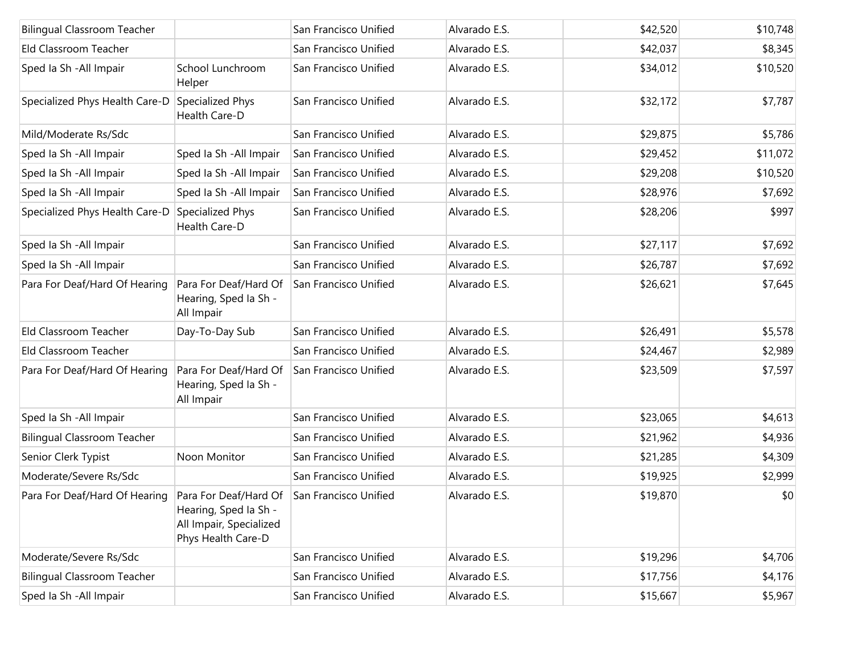| <b>Bilingual Classroom Teacher</b> |                                                                                                 | San Francisco Unified | Alvarado E.S. | \$42,520 | \$10,748 |
|------------------------------------|-------------------------------------------------------------------------------------------------|-----------------------|---------------|----------|----------|
| Eld Classroom Teacher              |                                                                                                 | San Francisco Unified | Alvarado E.S. | \$42,037 | \$8,345  |
| Sped Ia Sh - All Impair            | School Lunchroom<br>Helper                                                                      | San Francisco Unified | Alvarado E.S. | \$34,012 | \$10,520 |
| Specialized Phys Health Care-D     | Specialized Phys<br>Health Care-D                                                               | San Francisco Unified | Alvarado E.S. | \$32,172 | \$7,787  |
| Mild/Moderate Rs/Sdc               |                                                                                                 | San Francisco Unified | Alvarado E.S. | \$29,875 | \$5,786  |
| Sped Ia Sh - All Impair            | Sped Ia Sh - All Impair                                                                         | San Francisco Unified | Alvarado E.S. | \$29,452 | \$11,072 |
| Sped la Sh - All Impair            | Sped Ia Sh - All Impair                                                                         | San Francisco Unified | Alvarado E.S. | \$29,208 | \$10,520 |
| Sped la Sh - All Impair            | Sped Ia Sh - All Impair                                                                         | San Francisco Unified | Alvarado E.S. | \$28,976 | \$7,692  |
| Specialized Phys Health Care-D     | Specialized Phys<br>Health Care-D                                                               | San Francisco Unified | Alvarado E.S. | \$28,206 | \$997    |
| Sped la Sh - All Impair            |                                                                                                 | San Francisco Unified | Alvarado E.S. | \$27,117 | \$7,692  |
| Sped Ia Sh - All Impair            |                                                                                                 | San Francisco Unified | Alvarado E.S. | \$26,787 | \$7,692  |
| Para For Deaf/Hard Of Hearing      | Para For Deaf/Hard Of<br>Hearing, Sped Ia Sh -<br>All Impair                                    | San Francisco Unified | Alvarado E.S. | \$26,621 | \$7,645  |
| Eld Classroom Teacher              | Day-To-Day Sub                                                                                  | San Francisco Unified | Alvarado E.S. | \$26,491 | \$5,578  |
| Eld Classroom Teacher              |                                                                                                 | San Francisco Unified | Alvarado E.S. | \$24,467 | \$2,989  |
| Para For Deaf/Hard Of Hearing      | Para For Deaf/Hard Of<br>Hearing, Sped Ia Sh -<br>All Impair                                    | San Francisco Unified | Alvarado E.S. | \$23,509 | \$7,597  |
| Sped Ia Sh - All Impair            |                                                                                                 | San Francisco Unified | Alvarado E.S. | \$23,065 | \$4,613  |
| <b>Bilingual Classroom Teacher</b> |                                                                                                 | San Francisco Unified | Alvarado E.S. | \$21,962 | \$4,936  |
| Senior Clerk Typist                | Noon Monitor                                                                                    | San Francisco Unified | Alvarado E.S. | \$21,285 | \$4,309  |
| Moderate/Severe Rs/Sdc             |                                                                                                 | San Francisco Unified | Alvarado E.S. | \$19,925 | \$2,999  |
| Para For Deaf/Hard Of Hearing      | Para For Deaf/Hard Of<br>Hearing, Sped Ia Sh -<br>All Impair, Specialized<br>Phys Health Care-D | San Francisco Unified | Alvarado E.S. | \$19,870 | \$0      |
| Moderate/Severe Rs/Sdc             |                                                                                                 | San Francisco Unified | Alvarado E.S. | \$19,296 | \$4,706  |
| <b>Bilingual Classroom Teacher</b> |                                                                                                 | San Francisco Unified | Alvarado E.S. | \$17,756 | \$4,176  |
| Sped Ia Sh - All Impair            |                                                                                                 | San Francisco Unified | Alvarado E.S. | \$15,667 | \$5,967  |